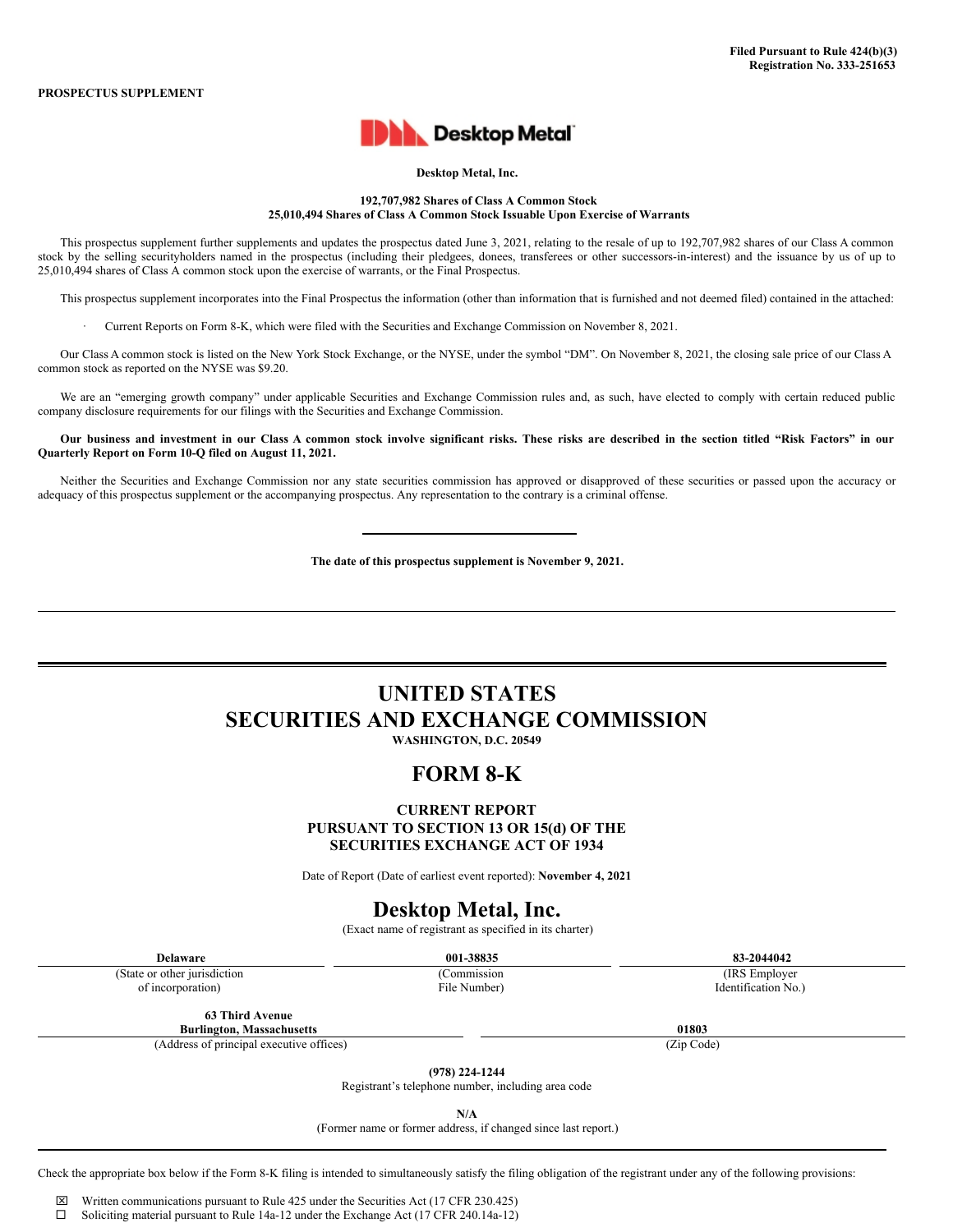

### **Desktop Metal, Inc.**

**192,707,982 Shares of Class A Common Stock 25,010,494 Shares of Class A Common Stock Issuable Upon Exercise of Warrants**

This prospectus supplement further supplements and updates the prospectus dated June 3, 2021, relating to the resale of up to 192,707,982 shares of our Class A common stock by the selling securityholders named in the prospectus (including their pledgees, donees, transferees or other successors-in-interest) and the issuance by us of up to 25,010,494 shares of Class A common stock upon the exercise of warrants, or the Final Prospectus.

This prospectus supplement incorporates into the Final Prospectus the information (other than information that is furnished and not deemed filed) contained in the attached:

· Current Reports on Form 8-K, which were filed with the Securities and Exchange Commission on November 8, 2021.

Our Class A common stock is listed on the New York Stock Exchange, or the NYSE, under the symbol "DM". On November 8, 2021, the closing sale price of our Class A common stock as reported on the NYSE was \$9.20.

We are an "emerging growth company" under applicable Securities and Exchange Commission rules and, as such, have elected to comply with certain reduced public company disclosure requirements for our filings with the Securities and Exchange Commission.

Our business and investment in our Class A common stock involve significant risks. These risks are described in the section titled "Risk Factors" in our **Quarterly Report on Form 10-Q filed on August 11, 2021.**

Neither the Securities and Exchange Commission nor any state securities commission has approved or disapproved of these securities or passed upon the accuracy or adequacy of this prospectus supplement or the accompanying prospectus. Any representation to the contrary is a criminal offense.

**The date of this prospectus supplement is November 9, 2021.**

# **UNITED STATES SECURITIES AND EXCHANGE COMMISSION**

**WASHINGTON, D.C. 20549**

### **FORM 8-K**

### **CURRENT REPORT PURSUANT TO SECTION 13 OR 15(d) OF THE SECURITIES EXCHANGE ACT OF 1934**

Date of Report (Date of earliest event reported): **November 4, 2021**

# **Desktop Metal, Inc.**

(Exact name of registrant as specified in its charter)

(State or other jurisdiction

of incorporation)

(Commission File Number)

**Delaware 001-38835 83-2044042** (IRS Employer

Identification No.)

**63 Third Avenue Burlington, Massachusetts 01803**

(Address of principal executive offices) (Zip Code)

**(978) 224-1244**

Registrant's telephone number, including area code

**N/A**

(Former name or former address, if changed since last report.)

Check the appropriate box below if the Form 8-K filing is intended to simultaneously satisfy the filing obligation of the registrant under any of the following provisions:

 $\boxtimes$  Written communications pursuant to Rule 425 under the Securities Act (17 CFR 230.425)

 $\square$  Soliciting material pursuant to Rule 14a-12 under the Exchange Act (17 CFR 240.14a-12)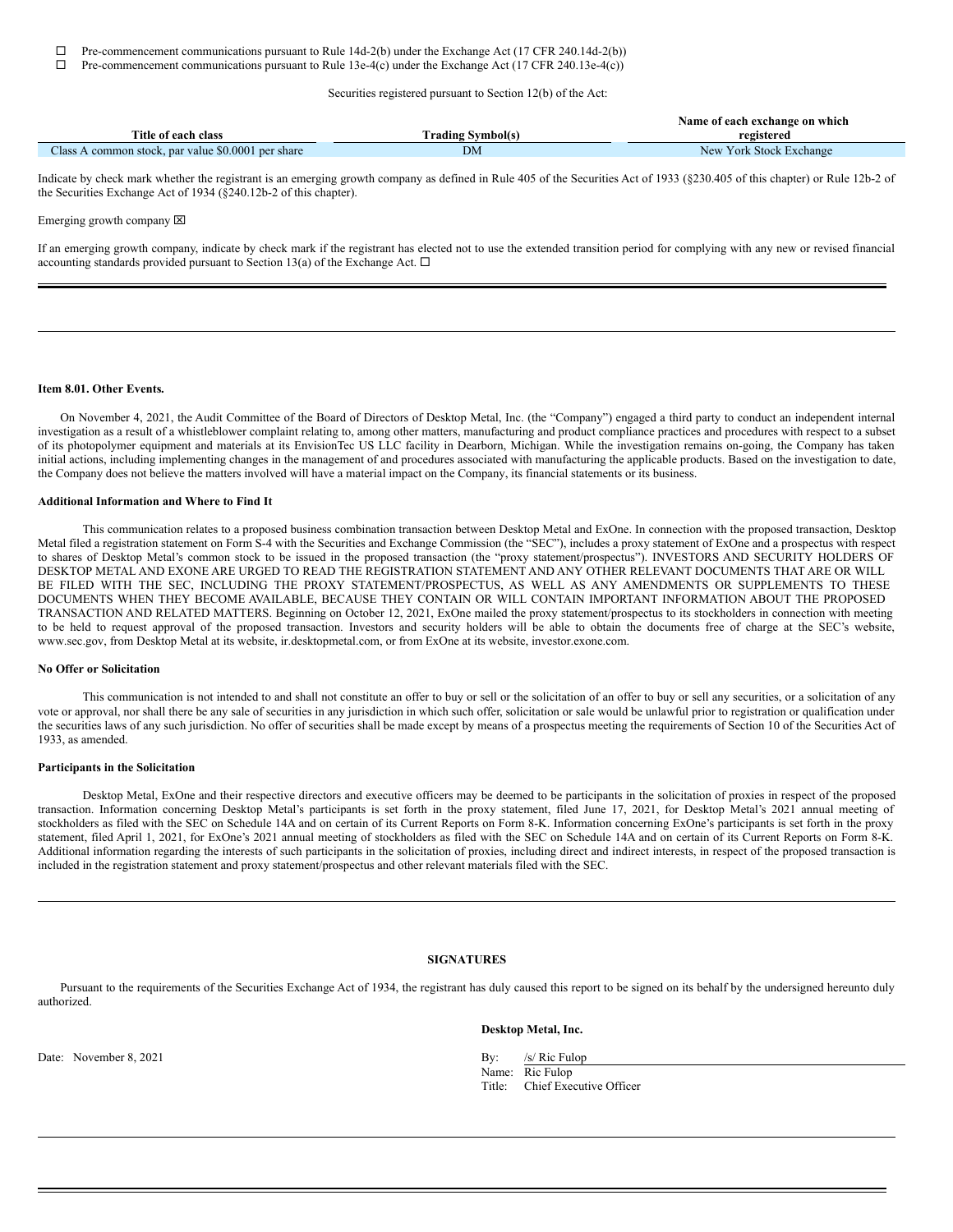$\Box$  Pre-commencement communications pursuant to Rule 14d-2(b) under the Exchange Act (17 CFR 240.14d-2(b))

 $\Box$  Pre-commencement communications pursuant to Rule 13e-4(c) under the Exchange Act (17 CFR 240.13e-4(c))

Securities registered pursuant to Section 12(b) of the Act:

|                                                    |                          | Name of each exchange on which |
|----------------------------------------------------|--------------------------|--------------------------------|
| Title of each class                                | <b>Trading Symbol(s)</b> | registered                     |
| Class A common stock, par value \$0,0001 per share | <b>DM</b>                | New York Stock Exchange        |

Indicate by check mark whether the registrant is an emerging growth company as defined in Rule 405 of the Securities Act of 1933 (§230.405 of this chapter) or Rule 12b-2 of the Securities Exchange Act of 1934 (§240.12b-2 of this chapter).

Emerging growth company  $[**X**]$ 

If an emerging growth company, indicate by check mark if the registrant has elected not to use the extended transition period for complying with any new or revised financial accounting standards provided pursuant to Section 13(a) of the Exchange Act.  $\Box$ 

#### **Item 8.01. Other Events.**

On November 4, 2021, the Audit Committee of the Board of Directors of Desktop Metal, Inc. (the "Company") engaged a third party to conduct an independent internal investigation as a result of a whistleblower complaint relating to, among other matters, manufacturing and product compliance practices and procedures with respect to a subset of its photopolymer equipment and materials at its EnvisionTec US LLC facility in Dearborn, Michigan. While the investigation remains on-going, the Company has taken initial actions, including implementing changes in the management of and procedures associated with manufacturing the applicable products. Based on the investigation to date, the Company does not believe the matters involved will have a material impact on the Company, its financial statements or its business.

### **Additional Information and Where to Find It**

This communication relates to a proposed business combination transaction between Desktop Metal and ExOne. In connection with the proposed transaction, Desktop Metal filed a registration statement on Form S-4 with the Securities and Exchange Commission (the "SEC"), includes a proxy statement of ExOne and a prospectus with respect to shares of Desktop Metal's common stock to be issued in the proposed transaction (the "proxy statement/prospectus"). INVESTORS AND SECURITY HOLDERS OF DESKTOP METAL AND EXONE ARE URGED TO READ THE REGISTRATION STATEMENT AND ANY OTHER RELEVANT DOCUMENTS THAT ARE OR WILL BE FILED WITH THE SEC, INCLUDING THE PROXY STATEMENT/PROSPECTUS, AS WELL AS ANY AMENDMENTS OR SUPPLEMENTS TO THESE DOCUMENTS WHEN THEY BECOME AVAILABLE, BECAUSE THEY CONTAIN OR WILL CONTAIN IMPORTANT INFORMATION ABOUT THE PROPOSED TRANSACTION AND RELATED MATTERS. Beginning on October 12, 2021, ExOne mailed the proxy statement/prospectus to its stockholders in connection with meeting to be held to request approval of the proposed transaction. Investors and security holders will be able to obtain the documents free of charge at the SEC's website, www.sec.gov, from Desktop Metal at its website, ir.desktopmetal.com, or from ExOne at its website, investor.exone.com.

### **No Offer or Solicitation**

This communication is not intended to and shall not constitute an offer to buy or sell or the solicitation of an offer to buy or sell any securities, or a solicitation of any vote or approval, nor shall there be any sale of securities in any jurisdiction in which such offer, solicitation or sale would be unlawful prior to registration or qualification under the securities laws of any such jurisdiction. No offer of securities shall be made except by means of a prospectus meeting the requirements of Section 10 of the Securities Act of 1933, as amended.

### **Participants in the Solicitation**

Desktop Metal, ExOne and their respective directors and executive officers may be deemed to be participants in the solicitation of proxies in respect of the proposed transaction. Information concerning Desktop Metal's participants is set forth in the proxy statement, filed June 17, 2021, for Desktop Metal's 2021 annual meeting of stockholders as filed with the SEC on Schedule 14A and on certain of its Current Reports on Form 8-K. Information concerning ExOne's participants is set forth in the proxy statement, filed April 1, 2021, for ExOne's 2021 annual meeting of stockholders as filed with the SEC on Schedule 14A and on certain of its Current Reports on Form 8-K. Additional information regarding the interests of such participants in the solicitation of proxies, including direct and indirect interests, in respect of the proposed transaction is included in the registration statement and proxy statement/prospectus and other relevant materials filed with the SEC.

### **SIGNATURES**

Pursuant to the requirements of the Securities Exchange Act of 1934, the registrant has duly caused this report to be signed on its behalf by the undersigned hereunto duly authorized.

Date: November 8, 2021 By: /s/ Ric Fulop

**Desktop Metal, Inc.**

Name: Ric Fulop Title: Chief Executive Officer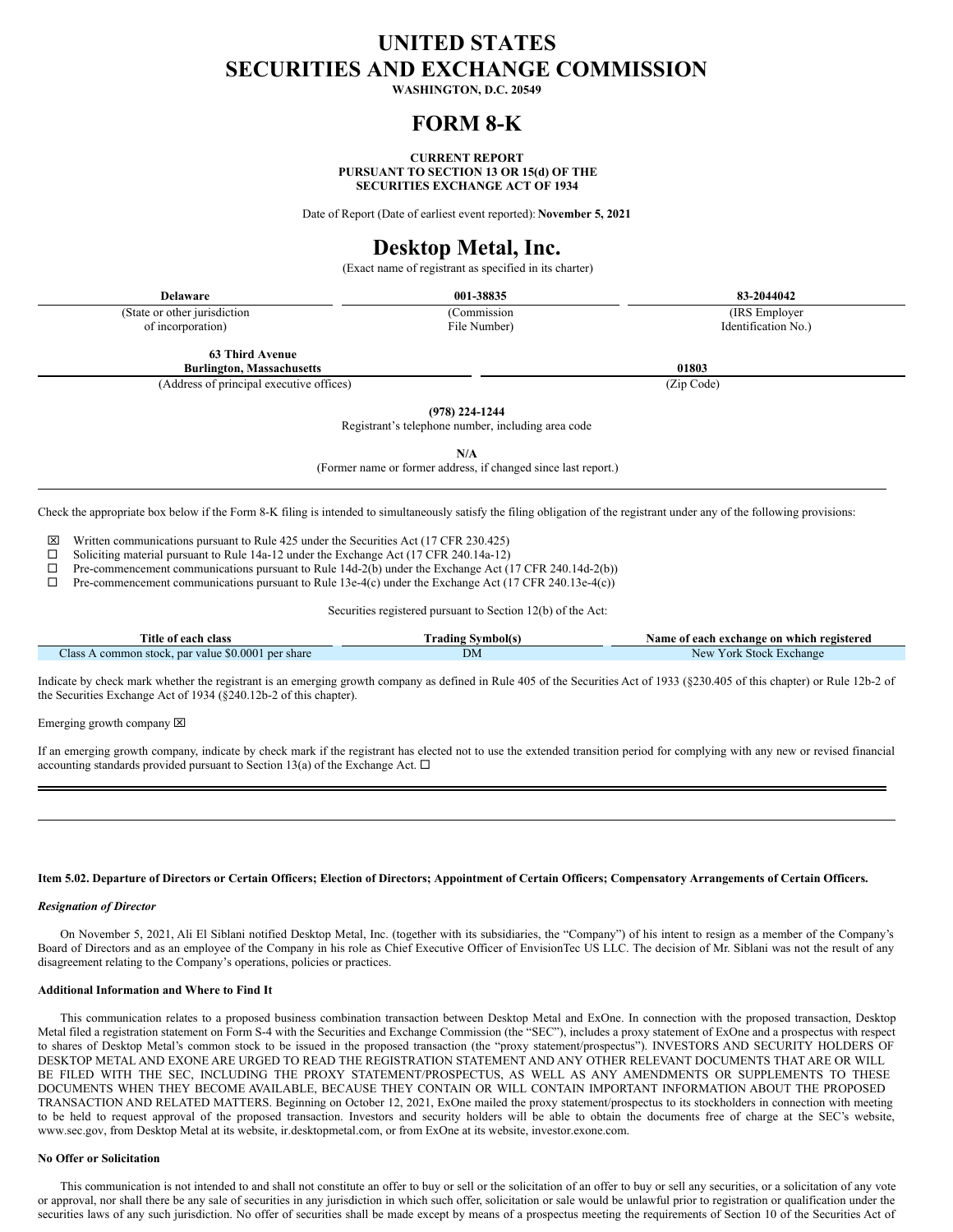# **UNITED STATES SECURITIES AND EXCHANGE COMMISSION**

**WASHINGTON, D.C. 20549**

### **FORM 8-K**

### **CURRENT REPORT PURSUANT TO SECTION 13 OR 15(d) OF THE SECURITIES EXCHANGE ACT OF 1934**

Date of Report (Date of earliest event reported): **November 5, 2021**

# **Desktop Metal, Inc.**

(Exact name of registrant as specified in its charter)

(State or other jurisdiction of incorporation)

(Commission File Number)

**Delaware 001-38835 83-2044042** (IRS Employer

**63 Third Avenue**

(Address of principal executive offices) (Zip Code)

**Burlington, Massachusetts 01803**

**(978) 224-1244**

Registrant's telephone number, including area code

**N/A**

(Former name or former address, if changed since last report.)

Check the appropriate box below if the Form 8-K filing is intended to simultaneously satisfy the filing obligation of the registrant under any of the following provisions:

 $\boxtimes$  Written communications pursuant to Rule 425 under the Securities Act (17 CFR 230.425)

 $\Box$  Soliciting material pursuant to Rule 14a-12 under the Exchange Act (17 CFR 240.14a-12)

 $\Box$  Pre-commencement communications pursuant to Rule 14d-2(b) under the Exchange Act (17 CFR 240.14d-2(b))

 $\Box$  Pre-commencement communications pursuant to Rule 13e-4(c) under the Exchange Act (17 CFR 240.13e-4(c))

Securities registered pursuant to Section 12(b) of the Act:

| <b>Title of</b><br>class                                  | radıng<br>Symbolts | registered<br>exchange on "<br>which<br>vame<br>each<br>` 01 |
|-----------------------------------------------------------|--------------------|--------------------------------------------------------------|
| Class<br>., par value \$0.0001 per share<br>common stock. | DΜ                 | New<br>Y ork<br>: Stock<br>Exchange                          |

Indicate by check mark whether the registrant is an emerging growth company as defined in Rule 405 of the Securities Act of 1933 (§230.405 of this chapter) or Rule 12b-2 of the Securities Exchange Act of 1934 (§240.12b-2 of this chapter).

Emerging growth company  $\boxtimes$ 

If an emerging growth company, indicate by check mark if the registrant has elected not to use the extended transition period for complying with any new or revised financial accounting standards provided pursuant to Section 13(a) of the Exchange Act.  $\Box$ 

### Item 5.02. Departure of Directors or Certain Officers; Election of Directors; Appointment of Certain Officers; Compensatory Arrangements of Certain Officers.

### *Resignation of Director*

On November 5, 2021, Ali El Siblani notified Desktop Metal, Inc. (together with its subsidiaries, the "Company") of his intent to resign as a member of the Company's Board of Directors and as an employee of the Company in his role as Chief Executive Officer of EnvisionTec US LLC. The decision of Mr. Siblani was not the result of any disagreement relating to the Company's operations, policies or practices.

### **Additional Information and Where to Find It**

This communication relates to a proposed business combination transaction between Desktop Metal and ExOne. In connection with the proposed transaction, Desktop Metal filed a registration statement on Form S-4 with the Securities and Exchange Commission (the "SEC"), includes a proxy statement of ExOne and a prospectus with respect to shares of Desktop Metal's common stock to be issued in the proposed transaction (the "proxy statement/prospectus"). INVESTORS AND SECURITY HOLDERS OF DESKTOP METAL AND EXONE ARE URGED TO READ THE REGISTRATION STATEMENT AND ANY OTHER RELEVANT DOCUMENTS THAT ARE OR WILL BE FILED WITH THE SEC, INCLUDING THE PROXY STATEMENT/PROSPECTUS, AS WELL AS ANY AMENDMENTS OR SUPPLEMENTS TO THESE DOCUMENTS WHEN THEY BECOME AVAILABLE, BECAUSE THEY CONTAIN OR WILL CONTAIN IMPORTANT INFORMATION ABOUT THE PROPOSED TRANSACTION AND RELATED MATTERS. Beginning on October 12, 2021, ExOne mailed the proxy statement/prospectus to its stockholders in connection with meeting to be held to request approval of the proposed transaction. Investors and security holders will be able to obtain the documents free of charge at the SEC's website, www.sec.gov, from Desktop Metal at its website, ir.desktopmetal.com, or from ExOne at its website, investor.exone.com.

### **No Offer or Solicitation**

This communication is not intended to and shall not constitute an offer to buy or sell or the solicitation of an offer to buy or sell any securities, or a solicitation of any vote or approval, nor shall there be any sale of securities in any jurisdiction in which such offer, solicitation or sale would be unlawful prior to registration or qualification under the securities laws of any such jurisdiction. No offer of securities shall be made except by means of a prospectus meeting the requirements of Section 10 of the Securities Act of

Identification No.)